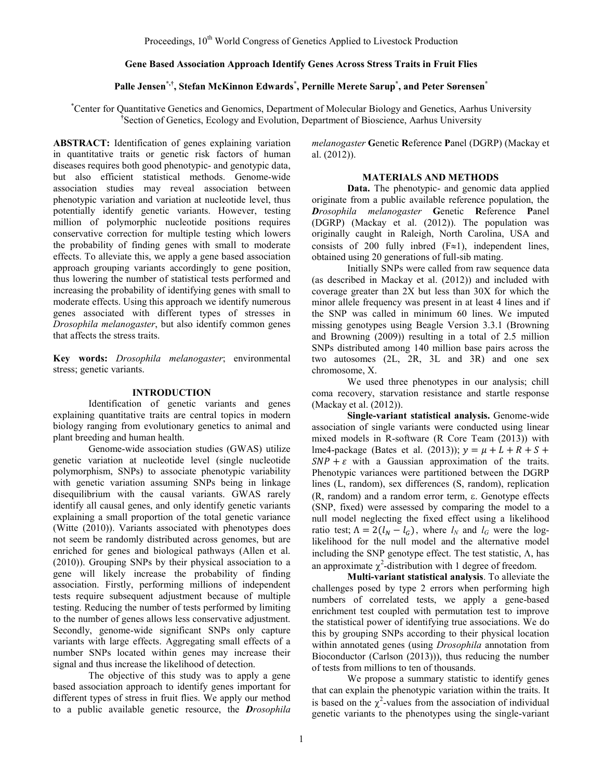# **Gene Based Association Approach Identify Genes Across Stress Traits in Fruit Flies**

# **Palle Jensen\*,† , Stefan McKinnon Edwards\* , Pernille Merete Sarup\* , and Peter Sørensen\***

\* Center for Quantitative Genetics and Genomics, Department of Molecular Biology and Genetics, Aarhus University <sup>†</sup> Section of Genetics, Ecology and Evolution, Department of Bioscience, Aarhus University

**ABSTRACT:** Identification of genes explaining variation in quantitative traits or genetic risk factors of human diseases requires both good phenotypic- and genotypic data, but also efficient statistical methods. Genome-wide association studies may reveal association between phenotypic variation and variation at nucleotide level, thus potentially identify genetic variants. However, testing million of polymorphic nucleotide positions requires conservative correction for multiple testing which lowers the probability of finding genes with small to moderate effects. To alleviate this, we apply a gene based association approach grouping variants accordingly to gene position, thus lowering the number of statistical tests performed and increasing the probability of identifying genes with small to moderate effects. Using this approach we identify numerous genes associated with different types of stresses in *Drosophila melanogaster*, but also identify common genes that affects the stress traits.

**Key words:** *Drosophila melanogaster*; environmental stress; genetic variants.

#### **INTRODUCTION**

Identification of genetic variants and genes explaining quantitative traits are central topics in modern biology ranging from evolutionary genetics to animal and plant breeding and human health.

Genome-wide association studies (GWAS) utilize genetic variation at nucleotide level (single nucleotide polymorphism, SNPs) to associate phenotypic variability with genetic variation assuming SNPs being in linkage disequilibrium with the causal variants. GWAS rarely identify all causal genes, and only identify genetic variants explaining a small proportion of the total genetic variance (Witte (2010)). Variants associated with phenotypes does not seem be randomly distributed across genomes, but are enriched for genes and biological pathways (Allen et al. (2010)). Grouping SNPs by their physical association to a gene will likely increase the probability of finding association. Firstly, performing millions of independent tests require subsequent adjustment because of multiple testing. Reducing the number of tests performed by limiting to the number of genes allows less conservative adjustment. Secondly, genome-wide significant SNPs only capture variants with large effects. Aggregating small effects of a number SNPs located within genes may increase their signal and thus increase the likelihood of detection.

The objective of this study was to apply a gene based association approach to identify genes important for different types of stress in fruit flies. We apply our method to a public available genetic resource, the *Drosophila*

*melanogaster* **G**enetic **R**eference **P**anel (DGRP) (Mackay et al. (2012)).

### **MATERIALS AND METHODS**

**Data.** The phenotypic- and genomic data applied originate from a public available reference population, the *Drosophila melanogaster* **G**enetic **R**eference **P**anel (DGRP) (Mackay et al. (2012)). The population was originally caught in Raleigh, North Carolina, USA and consists of 200 fully independent lines, obtained using 20 generations of full-sib mating.

Initially SNPs were called from raw sequence data (as described in Mackay et al. (2012)) and included with coverage greater than 2X but less than 30X for which the minor allele frequency was present in at least 4 lines and if the SNP was called in minimum 60 lines. We imputed missing genotypes using Beagle Version 3.3.1 (Browning and Browning (2009)) resulting in a total of 2.5 million SNPs distributed among 140 million base pairs across the two autosomes (2L, 2R, 3L and 3R) and one sex chromosome, X.

We used three phenotypes in our analysis; chill coma recovery, starvation resistance and startle response (Mackay et al. (2012)).

**Single-variant statistical analysis.** Genome-wide association of single variants were conducted using linear mixed models in R-software (R Core Team (2013)) with lme4-package (Bates et al. (2013));  $y = \mu + L + R + S +$  $SNP + \varepsilon$  with a Gaussian approximation of the traits. Phenotypic variances were partitioned between the DGRP lines (L, random), sex differences (S, random), replication (R, random) and a random error term, ε. Genotype effects (SNP, fixed) were assessed by comparing the model to a null model neglecting the fixed effect using a likelihood ratio test;  $\Lambda = 2(l_N - l_G)$ , where  $l_N$  and  $l_G$  were the loglikelihood for the null model and the alternative model including the SNP genotype effect. The test statistic,  $\Lambda$ , has an approximate  $\chi^2$ -distribution with 1 degree of freedom.

**Multi-variant statistical analysis**. To alleviate the challenges posed by type 2 errors when performing high numbers of correlated tests, we apply a gene-based enrichment test coupled with permutation test to improve the statistical power of identifying true associations. We do this by grouping SNPs according to their physical location within annotated genes (using *Drosophila* annotation from Bioconductor (Carlson (2013))), thus reducing the number of tests from millions to ten of thousands.

We propose a summary statistic to identify genes that can explain the phenotypic variation within the traits. It is based on the  $\chi^2$ -values from the association of individual genetic variants to the phenotypes using the single-variant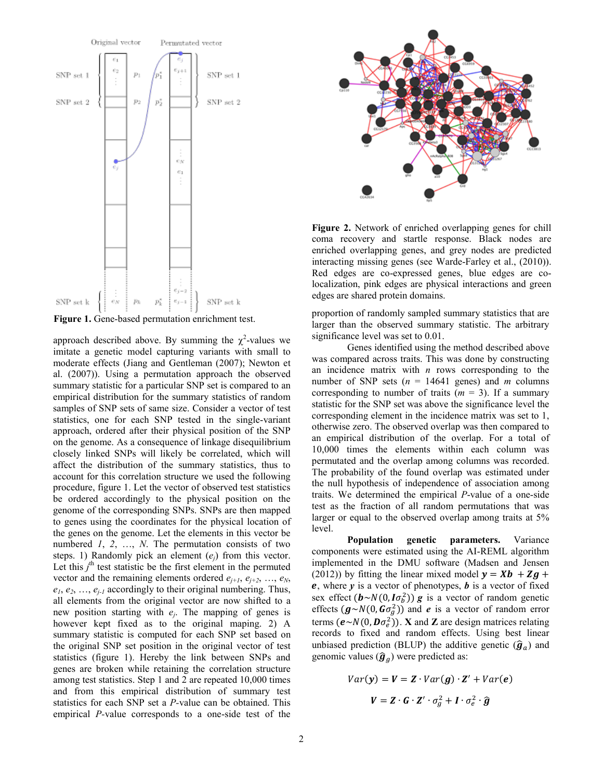

**Figure 1.** Gene-based permutation enrichment test.

approach described above. By summing the  $\chi^2$ -values we imitate a genetic model capturing variants with small to moderate effects (Jiang and Gentleman (2007); Newton et al. (2007)). Using a permutation approach the observed summary statistic for a particular SNP set is compared to an empirical distribution for the summary statistics of random samples of SNP sets of same size. Consider a vector of test statistics, one for each SNP tested in the single-variant approach, ordered after their physical position of the SNP on the genome. As a consequence of linkage disequilibrium closely linked SNPs will likely be correlated, which will affect the distribution of the summary statistics, thus to account for this correlation structure we used the following procedure, figure 1. Let the vector of observed test statistics be ordered accordingly to the physical position on the genome of the corresponding SNPs. SNPs are then mapped to genes using the coordinates for the physical location of the genes on the genome. Let the elements in this vector be numbered *1*, *2*, …, *N*. The permutation consists of two steps. 1) Randomly pick an element (*ej*) from this vector. Let this  $j^{\text{th}}$  test statistic be the first element in the permuted vector and the remaining elements ordered  $e_{j+1}, e_{j+2}, \ldots, e_N$ ,  $e_1, e_2, \ldots, e_{i-1}$  accordingly to their original numbering. Thus, all elements from the original vector are now shifted to a new position starting with *ej*. The mapping of genes is however kept fixed as to the original maping. 2) A summary statistic is computed for each SNP set based on the original SNP set position in the original vector of test statistics (figure 1). Hereby the link between SNPs and genes are broken while retaining the correlation structure among test statistics. Step 1 and 2 are repeated 10,000 times and from this empirical distribution of summary test statistics for each SNP set a *P-*value can be obtained. This empirical *P-*value corresponds to a one-side test of the



**Figure 2.** Network of enriched overlapping genes for chill coma recovery and startle response. Black nodes are enriched overlapping genes, and grey nodes are predicted interacting missing genes (see Warde-Farley et al., (2010)). Red edges are co-expressed genes, blue edges are colocalization, pink edges are physical interactions and green edges are shared protein domains.

proportion of randomly sampled summary statistics that are larger than the observed summary statistic. The arbitrary significance level was set to 0.01.

Genes identified using the method described above was compared across traits. This was done by constructing an incidence matrix with *n* rows corresponding to the number of SNP sets  $(n = 14641 \text{ genes})$  and *m* columns corresponding to number of traits  $(m = 3)$ . If a summary statistic for the SNP set was above the significance level the corresponding element in the incidence matrix was set to 1, otherwise zero. The observed overlap was then compared to an empirical distribution of the overlap. For a total of 10,000 times the elements within each column was permutated and the overlap among columns was recorded. The probability of the found overlap was estimated under the null hypothesis of independence of association among traits. We determined the empirical *P*-value of a one-side test as the fraction of all random permutations that was larger or equal to the observed overlap among traits at 5% level.

**Population genetic parameters.** Variance components were estimated using the AI-REML algorithm implemented in the DMU software (Madsen and Jensen (2012)) by fitting the linear mixed model  $y = Xb + Zg +$ , where *y* is a vector of phenotypes, *b* is a vector of fixed sex effect  $(b \sim N(0, I \sigma_b^2)) g$  is a vector of random genetic effects  $(g \sim N(0, G\sigma_g^2))$  and *e* is a vector of random error terms  $(e \sim N(0, D\sigma_e^2))$ . **X** and **Z** are design matrices relating records to fixed and random effects. Using best linear unbiased prediction (BLUP) the additive genetic  $(\hat{g}_a)$  and genomic values  $(\hat{\boldsymbol{g}}_q)$  were predicted as:

$$
Var(\mathbf{y}) = \mathbf{V} = \mathbf{Z} \cdot Var(\mathbf{g}) \cdot \mathbf{Z}' + Var(\mathbf{e})
$$

$$
\mathbf{V} = \mathbf{Z} \cdot \mathbf{G} \cdot \mathbf{Z}' \cdot \sigma_g^2 + \mathbf{I} \cdot \sigma_e^2 \cdot \hat{\mathbf{g}}
$$